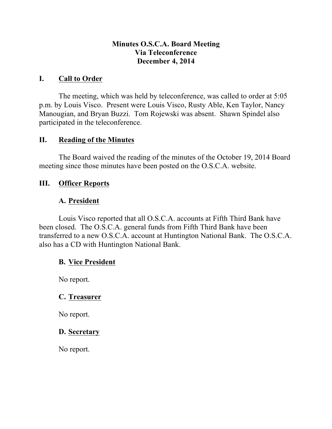#### **Minutes O.S.C.A. Board Meeting Via Teleconference December 4, 2014**

### **I. Call to Order**

The meeting, which was held by teleconference, was called to order at 5:05 p.m. by Louis Visco. Present were Louis Visco, Rusty Able, Ken Taylor, Nancy Manougian, and Bryan Buzzi. Tom Rojewski was absent. Shawn Spindel also participated in the teleconference.

### **II. Reading of the Minutes**

The Board waived the reading of the minutes of the October 19, 2014 Board meeting since those minutes have been posted on the O.S.C.A. website.

### **III. Officer Reports**

## **A. President**

Louis Visco reported that all O.S.C.A. accounts at Fifth Third Bank have been closed. The O.S.C.A. general funds from Fifth Third Bank have been transferred to a new O.S.C.A. account at Huntington National Bank. The O.S.C.A. also has a CD with Huntington National Bank.

## **B. Vice President**

No report.

## **C. Treasurer**

No report.

#### **D. Secretary**

No report.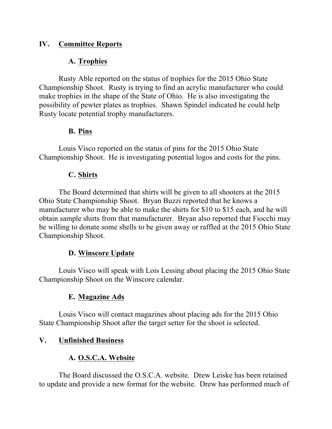## **IV. Committee Reports**

## **A. Trophies**

Rusty Able reported on the status of trophies for the 2015 Ohio State Championship Shoot. Rusty is trying to find an acrylic manufacturer who could make trophies in the shape of the State of Ohio. He is also investigating the possibility of pewter plates as trophies. Shawn Spindel indicated he could help Rusty locate potential trophy manufacturers.

## **B. Pins**

Louis Visco reported on the status of pins for the 2015 Ohio State Championship Shoot. He is investigating potential logos and costs for the pins.

## **C. Shirts**

The Board determined that shirts will be given to all shooters at the 2015 Ohio State Championship Shoot. Bryan Buzzi reported that he knows a manufacturer who may be able to make the shirts for \$10 to \$15 each, and he will obtain sample shirts from that manufacturer. Bryan also reported that Fiocchi may be willing to donate some shells to be given away or raffled at the 2015 Ohio State Championship Shoot.

# **D. Winscore Update**

Louis Visco will speak with Lois Lessing about placing the 2015 Ohio State Championship Shoot on the Winscore calendar.

# **E. Magazine Ads**

Louis Visco will contact magazines about placing ads for the 2015 Ohio State Championship Shoot after the target setter for the shoot is selected.

# **V. Unfinished Business**

# **A. O.S.C.A. Website**

The Board discussed the O.S.C.A. website. Drew Leiske has been retained to update and provide a new format for the website. Drew has performed much of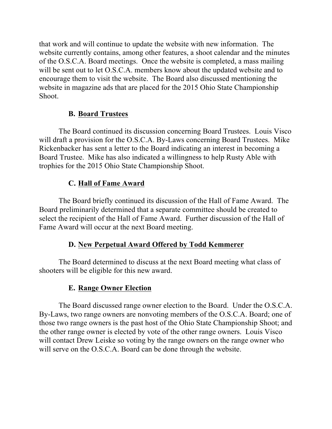that work and will continue to update the website with new information. The website currently contains, among other features, a shoot calendar and the minutes of the O.S.C.A. Board meetings. Once the website is completed, a mass mailing will be sent out to let O.S.C.A. members know about the updated website and to encourage them to visit the website. The Board also discussed mentioning the website in magazine ads that are placed for the 2015 Ohio State Championship Shoot.

## **B. Board Trustees**

The Board continued its discussion concerning Board Trustees. Louis Visco will draft a provision for the O.S.C.A. By-Laws concerning Board Trustees. Mike Rickenbacker has sent a letter to the Board indicating an interest in becoming a Board Trustee. Mike has also indicated a willingness to help Rusty Able with trophies for the 2015 Ohio State Championship Shoot.

## **C. Hall of Fame Award**

The Board briefly continued its discussion of the Hall of Fame Award. The Board preliminarily determined that a separate committee should be created to select the recipient of the Hall of Fame Award. Further discussion of the Hall of Fame Award will occur at the next Board meeting.

#### **D. New Perpetual Award Offered by Todd Kemmerer**

The Board determined to discuss at the next Board meeting what class of shooters will be eligible for this new award.

#### **E. Range Owner Election**

The Board discussed range owner election to the Board. Under the O.S.C.A. By-Laws, two range owners are nonvoting members of the O.S.C.A. Board; one of those two range owners is the past host of the Ohio State Championship Shoot; and the other range owner is elected by vote of the other range owners. Louis Visco will contact Drew Leiske so voting by the range owners on the range owner who will serve on the O.S.C.A. Board can be done through the website.